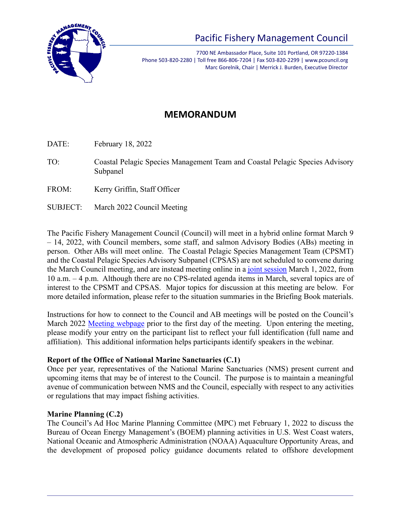

# Pacific Fishery Management Council

7700 NE Ambassador Place, Suite 101 Portland, OR 97220-1384 Phone 503-820-2280 | Toll free 866-806-7204 | Fax 503-820-2299 | www.pcouncil.org Marc Gorelnik, Chair | Merrick J. Burden, Executive Director

# **MEMORANDUM**

DATE: February 18, 2022

- TO: Coastal Pelagic Species Management Team and Coastal Pelagic Species Advisory Subpanel
- FROM: Kerry Griffin, Staff Officer
- SUBJECT: March 2022 Council Meeting

The Pacific Fishery Management Council (Council) will meet in a hybrid online format March 9 – 14, 2022, with Council members, some staff, and salmon Advisory Bodies (ABs) meeting in person. Other ABs will meet online. The Coastal Pelagic Species Management Team (CPSMT) and the Coastal Pelagic Species Advisory Subpanel (CPSAS) are not scheduled to convene during the March Council meeting, and are instead meeting online in a [joint session](https://www.pcouncil.org/events/coastal-pelagic-species-management-team-and-coastal-pelagic-species-advisory-subpanel-will-hold-a-joint-meeting-march-1-2022/) March 1, 2022, from 10 a.m. – 4 p.m. Although there are no CPS-related agenda items in March, several topics are of interest to the CPSMT and CPSAS. Major topics for discussion at this meeting are below. For more detailed information, please refer to the situation summaries in the Briefing Book materials.

Instructions for how to connect to the Council and AB meetings will be posted on the Council's March 2022 [Meeting webpage](https://www.pcouncil.org/council_meeting/march-8-14-2022-council-meeting/) prior to the first day of the meeting. Upon entering the meeting, please modify your entry on the participant list to reflect your full identification (full name and affiliation). This additional information helps participants identify speakers in the webinar.

# **Report of the Office of National Marine Sanctuaries (C.1)**

Once per year, representatives of the National Marine Sanctuaries (NMS) present current and upcoming items that may be of interest to the Council. The purpose is to maintain a meaningful avenue of communication between NMS and the Council, especially with respect to any activities or regulations that may impact fishing activities.

# **Marine Planning (C.2)**

The Council's Ad Hoc Marine Planning Committee (MPC) met February 1, 2022 to discuss the Bureau of Ocean Energy Management's (BOEM) planning activities in U.S. West Coast waters, National Oceanic and Atmospheric Administration (NOAA) Aquaculture Opportunity Areas, and the development of proposed policy guidance documents related to offshore development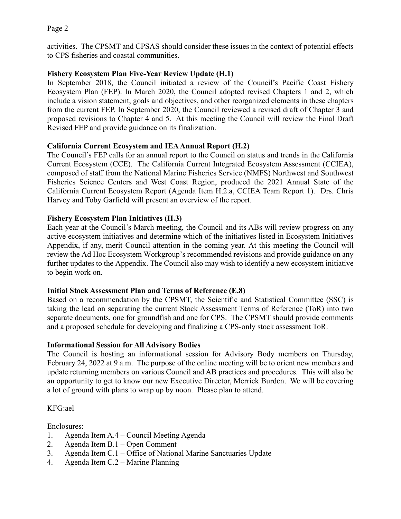activities. The CPSMT and CPSAS should consider these issues in the context of potential effects to CPS fisheries and coastal communities.

# **Fishery Ecosystem Plan Five-Year Review Update (H.1)**

In September 2018, the Council initiated a review of the Council's Pacific Coast Fishery Ecosystem Plan [\(FEP\)](http://www.pcouncil.org/wp-content/uploads/FEP_FINAL.pdf). In March 2020, the Council adopted revised Chapters 1 and 2, which include a vision statement, goals and objectives, and other reorganized elements in these chapters from the current FEP. In September 2020, the Council reviewed a revised draft of Chapter 3 and proposed revisions to Chapter 4 and 5. At this meeting the Council will review the Final Draft Revised FEP and provide guidance on its finalization.

# **California Current Ecosystem and IEA Annual Report (H.2)**

The Council's FEP calls for an annual report to the Council on status and trends in the California Current Ecosystem (CCE). The California Current Integrated Ecosystem Assessment (CCIEA), composed of staff from the National Marine Fisheries Service (NMFS) Northwest and Southwest Fisheries Science Centers and West Coast Region, produced the 2021 Annual State of the California Current Ecosystem Report (Agenda Item H.2.a, CCIEA Team Report 1). Drs. Chris Harvey and Toby Garfield will present an overview of the report.

# **Fishery Ecosystem Plan Initiatives (H.3)**

Each year at the Council's March meeting, the Council and its ABs will review progress on any active ecosystem initiatives and determine which of the initiatives listed in Ecosystem Initiatives Appendix, if any, merit Council attention in the coming year. At this meeting the Council will review the Ad Hoc Ecosystem Workgroup's recommended revisions and provide guidance on any further updates to the Appendix. The Council also may wish to identify a new ecosystem initiative to begin work on.

# **Initial Stock Assessment Plan and Terms of Reference (E.8)**

Based on a recommendation by the CPSMT, the Scientific and Statistical Committee (SSC) is taking the lead on separating the current Stock Assessment Terms of Reference (ToR) into two separate documents, one for groundfish and one for CPS. The CPSMT should provide comments and a proposed schedule for developing and finalizing a CPS-only stock assessment ToR.

# **Informational Session for All Advisory Bodies**

The Council is hosting an informational session for Advisory Body members on Thursday, February 24, 2022 at 9 a.m. The purpose of the online meeting will be to orient new members and update returning members on various Council and AB practices and procedures. This will also be an opportunity to get to know our new Executive Director, Merrick Burden. We will be covering a lot of ground with plans to wrap up by noon. Please plan to attend.

# KFG:ael

Enclosures:

- 1. Agenda Item A.4 Council Meeting Agenda
- 2. Agenda Item B.1 Open Comment
- 3. Agenda Item C.1 Office of National Marine Sanctuaries Update
- 4. Agenda Item C.2 Marine Planning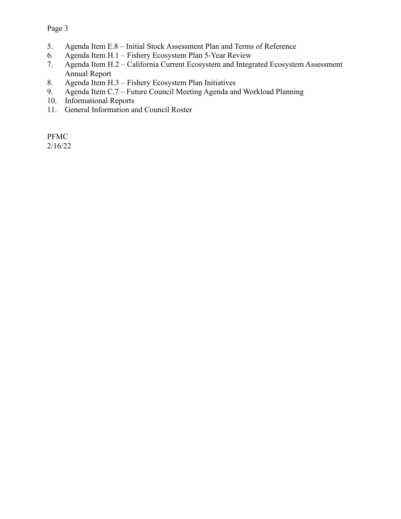- 5. Agenda Item E.8 Initial Stock Assessment Plan and Terms of Reference
- 6. Agenda Item H.1 Fishery Ecosystem Plan 5-Year Review
- 7. Agenda Item H.2 California Current Ecosystem and Integrated Ecosystem Assessment Annual Report
- 8. Agenda Item H.3 Fishery Ecosystem Plan Initiatives
- 9. Agenda Item C.7 Future Council Meeting Agenda and Workload Planning
- 10. Informational Reports
- 11. General Information and Council Roster

PFMC 2/16/22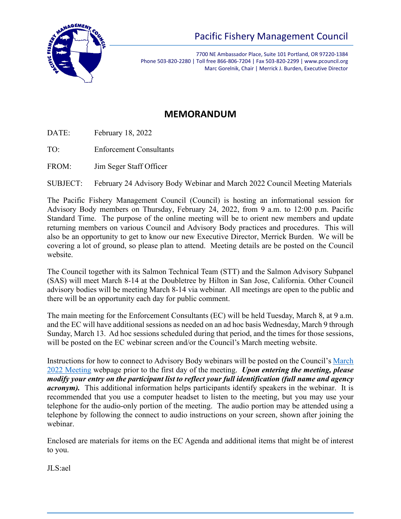

7700 NE Ambassador Place, Suite 101 Portland, OR 97220-1384 Phone 503-820-2280 | Toll free 866-806-7204 | Fax 503-820-2299 | www.pcouncil.org Marc Gorelnik, Chair | Merrick J. Burden, Executive Director

# **MEMORANDUM**

- DATE: February 18, 2022
- TO: Enforcement Consultants
- FROM: Jim Seger Staff Officer

SUBJECT: February 24 Advisory Body Webinar and March 2022 Council Meeting Materials

The Pacific Fishery Management Council (Council) is hosting an informational session for Advisory Body members on Thursday, February 24, 2022, from 9 a.m. to 12:00 p.m. Pacific Standard Time. The purpose of the online meeting will be to orient new members and update returning members on various Council and Advisory Body practices and procedures. This will also be an opportunity to get to know our new Executive Director, Merrick Burden. We will be covering a lot of ground, so please plan to attend. Meeting details are be posted on the Council website.

The Council together with its Salmon Technical Team (STT) and the Salmon Advisory Subpanel (SAS) will meet March 8-14 at the Doubletree by Hilton in San Jose, California. Other Council advisory bodies will be meeting March 8-14 via webinar. All meetings are open to the public and there will be an opportunity each day for public comment.

The main meeting for the Enforcement Consultants (EC) will be held Tuesday, March 8, at 9 a.m. and the EC will have additional sessions as needed on an ad hoc basis Wednesday, March 9 through Sunday, March 13. Ad hoc sessions scheduled during that period, and the times for those sessions, will be posted on the EC webinar screen and/or the Council's March meeting website.

Instructions for how to connect to Advisory Body webinars will be posted on the Council's [March](https://www.pcouncil.org/council_meeting/march-8-14-2022-council-meeting/) 2022 [Meeting](https://www.pcouncil.org/council_meeting/march-8-14-2022-council-meeting/) webpage prior to the first day of the meeting. *Upon entering the meeting, please modify your entry on the participant list to reflect your full identification (full name and agency acronym*). This additional information helps participants identify speakers in the webinar. It is recommended that you use a computer headset to listen to the meeting, but you may use your telephone for the audio-only portion of the meeting. The audio portion may be attended using a telephone by following the connect to audio instructions on your screen, shown after joining the webinar.

Enclosed are materials for items on the EC Agenda and additional items that might be of interest to you.

JLS:ael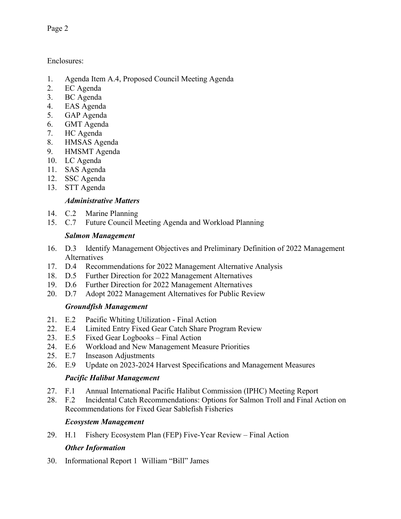Enclosures:

- 1. Agenda Item A.4, Proposed Council Meeting Agenda
- 2. EC Agenda
- 3. BC Agenda
- 4. EAS Agenda
- 5. GAP Agenda
- 6. GMT Agenda
- 7. HC Agenda
- 8. HMSAS Agenda
- 9. HMSMT Agenda
- 10. LC Agenda
- 11. SAS Agenda
- 12. SSC Agenda
- 13. STT Agenda

# *Administrative Matters*

- 14. C.2 Marine Planning
- 15. C.7 Future Council Meeting Agenda and Workload Planning

# *Salmon Management*

- 16. D.3 Identify Management Objectives and Preliminary Definition of 2022 Management Alternatives
- 17. D.4 Recommendations for 2022 Management Alternative Analysis
- 18. D.5 Further Direction for 2022 Management Alternatives
- 19. D.6 Further Direction for 2022 Management Alternatives<br>20. D.7 Adopt 2022 Management Alternatives for Public Rev
- Adopt 2022 Management Alternatives for Public Review

# *Groundfish Management*

- 21. E.2 Pacific Whiting Utilization Final Action
- 22. E.4 Limited Entry Fixed Gear Catch Share Program Review
- 23. E.5 Fixed Gear Logbooks Final Action
- 24. E.6 Workload and New Management Measure Priorities
- 25. E.7 Inseason Adjustments
- 26. E.9 Update on 2023-2024 Harvest Specifications and Management Measures

# *Pacific Halibut Management*

- 27. F.1 Annual International Pacific Halibut Commission (IPHC) Meeting Report
- 28. F.2 Incidental Catch Recommendations: Options for Salmon Troll and Final Action on Recommendations for Fixed Gear Sablefish Fisheries

# *Ecosystem Management*

29. H.1 Fishery Ecosystem Plan (FEP) Five-Year Review – Final Action

# *Other Information*

30. Informational Report 1 William "Bill" James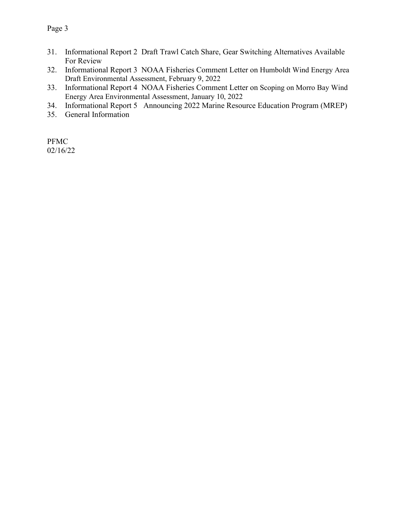- 31. Informational Report 2 Draft Trawl Catch Share, Gear Switching Alternatives Available For Review
- 32. Informational Report 3 NOAA Fisheries Comment Letter on Humboldt Wind Energy Area Draft Environmental Assessment, February 9, 2022
- 33. Informational Report 4 NOAA Fisheries Comment Letter on Scoping on Morro Bay Wind Energy Area Environmental Assessment, January 10, 2022
- 34. Informational Report 5 Announcing 2022 Marine Resource Education Program (MREP)
- 35. General Information

PFMC 02/16/22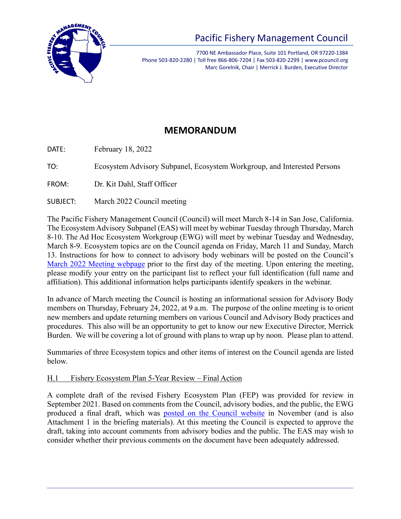

# Pacific Fishery Management Council

7700 NE Ambassador Place, Suite 101 Portland, OR 97220-1384 Phone 503-820-2280 | Toll free 866-806-7204 | Fax 503-820-2299 | www.pcouncil.org Marc Gorelnik, Chair | Merrick J. Burden, Executive Director

# **MEMORANDUM**

DATE: February 18, 2022

TO: Ecosystem Advisory Subpanel, Ecosystem Workgroup, and Interested Persons

FROM: Dr. Kit Dahl, Staff Officer

SUBJECT: March 2022 Council meeting

The Pacific Fishery Management Council (Council) will meet March 8-14 in San Jose, California. The Ecosystem Advisory Subpanel (EAS) will meet by webinar Tuesday through Thursday, March 8-10. The Ad Hoc Ecosystem Workgroup (EWG) will meet by webinar Tuesday and Wednesday, March 8-9. Ecosystem topics are on the Council agenda on Friday, March 11 and Sunday, March 13. Instructions for how to connect to advisory body webinars will be posted on the Council's [March 2022 Meeting webpage](https://www.pcouncil.org/council_meeting/march-8-14-2022-council-meeting/) prior to the first day of the meeting. Upon entering the meeting, please modify your entry on the participant list to reflect your full identification (full name and affiliation). This additional information helps participants identify speakers in the webinar.

In advance of March meeting the Council is hosting an informational session for Advisory Body members on Thursday, February 24, 2022, at 9 a.m. The purpose of the online meeting is to orient new members and update returning members on various Council and Advisory Body practices and procedures. This also will be an opportunity to get to know our new Executive Director, Merrick Burden. We will be covering a lot of ground with plans to wrap up by noon. Please plan to attend.

Summaries of three Ecosystem topics and other items of interest on the Council agenda are listed below.

# H.1 Fishery Ecosystem Plan 5-Year Review – Final Action

A complete draft of the revised Fishery Ecosystem Plan (FEP) was provided for review in September 2021. Based on comments from the Council, advisory bodies, and the public, the EWG produced a final draft, which was [posted on the Council website](https://www.pcouncil.org/the-fishery-ecosystem-plan/) in November (and is also Attachment 1 in the briefing materials). At this meeting the Council is expected to approve the draft, taking into account comments from advisory bodies and the public. The EAS may wish to consider whether their previous comments on the document have been adequately addressed.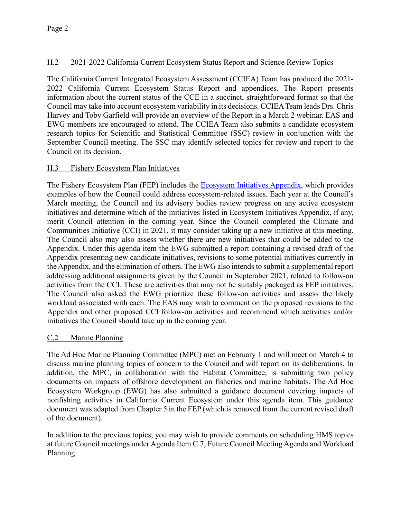# H.2 2021-2022 California Current Ecosystem Status Report and Science Review Topics

The California Current Integrated Ecosystem Assessment (CCIEA) Team has produced the 2021- 2022 California Current Ecosystem Status Report and appendices. The Report presents information about the current status of the CCE in a succinct, straightforward format so that the Council may take into account ecosystem variability in its decisions. CCIEA Team leads Drs. Chris Harvey and Toby Garfield will provide an overview of the Report in a March 2 webinar. EAS and EWG members are encouraged to attend. The CCIEA Team also submits a candidate ecosystem research topics for Scientific and Statistical Committee (SSC) review in conjunction with the September Council meeting. The SSC may identify selected topics for review and report to the Council on its decision.

# H.3 Fishery Ecosystem Plan Initiatives

The Fishery Ecosystem Plan (FEP) includes the **Ecosystem Initiatives Appendix**, which provides examples of how the Council could address ecosystem-related issues. Each year at the Council's March meeting, the Council and its advisory bodies review progress on any active ecosystem initiatives and determine which of the initiatives listed in Ecosystem Initiatives Appendix, if any, merit Council attention in the coming year. Since the Council completed the Climate and Communities Initiative (CCI) in 2021, it may consider taking up a new initiative at this meeting. The Council also may also assess whether there are new initiatives that could be added to the Appendix. Under this agenda item the EWG submitted a report containing a revised draft of the Appendix presenting new candidate initiatives, revisions to some potential initiatives currently in the Appendix, and the elimination of others. The EWG also intends to submit a supplemental report addressing additional assignments given by the Council in September 2021, related to follow-on activities from the CCI. These are activities that may not be suitably packaged as FEP initiatives. The Council also asked the EWG prioritize these follow-on activities and assess the likely workload associated with each. The EAS may wish to comment on the proposed revisions to the Appendix and other proposed CCI follow-on activities and recommend which activities and/or initiatives the Council should take up in the coming year.

# C.2 Marine Planning

The Ad Hoc Marine Planning Committee (MPC) met on February 1 and will meet on March 4 to discuss marine planning topics of concern to the Council and will report on its deliberations. In addition, the MPC, in collaboration with the Habitat Committee, is submitting two policy documents on impacts of offshore development on fisheries and marine habitats. The Ad Hoc Ecosystem Workgroup (EWG) has also submitted a guidance document covering impacts of nonfishing activities in California Current Ecosystem under this agenda item. This guidance document was adapted from Chapter 5 in the FEP (which is removed from the current revised draft of the document).

In addition to the previous topics, you may wish to provide comments on scheduling HMS topics at future Council meetings under Agenda Item C.7, Future Council Meeting Agenda and Workload Planning.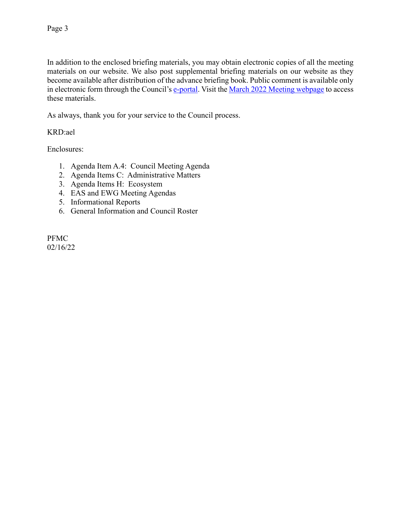In addition to the enclosed briefing materials, you may obtain electronic copies of all the meeting materials on our website. We also post supplemental briefing materials on our website as they become available after distribution of the advance briefing book. Public comment is available only in electronic form through the Council's [e-portal.](https://pfmc.psmfc.org/) Visit th[e March 2022 Meeting webpage](https://www.pcouncil.org/council_meeting/march-8-14-2022-council-meeting/) to access these materials.

As always, thank you for your service to the Council process.

# KRD:ael

Enclosures:

- 1. Agenda Item A.4: Council Meeting Agenda
- 2. Agenda Items C: Administrative Matters
- 3. Agenda Items H: Ecosystem
- 4. EAS and EWG Meeting Agendas
- 5. Informational Reports
- 6. General Information and Council Roster

PFMC 02/16/22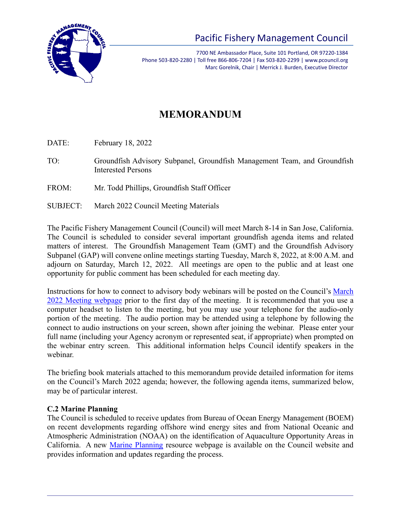

7700 NE Ambassador Place, Suite 101 Portland, OR 97220-1384 Phone 503-820-2280 | Toll free 866-806-7204 | Fax 503-820-2299 | www.pcouncil.org Marc Gorelnik, Chair | Merrick J. Burden, Executive Director

# **MEMORANDUM**

DATE: February 18, 2022

- TO: Groundfish Advisory Subpanel, Groundfish Management Team, and Groundfish Interested Persons
- FROM: Mr. Todd Phillips, Groundfish Staff Officer
- SUBJECT: March 2022 Council Meeting Materials

The Pacific Fishery Management Council (Council) will meet March 8-14 in San Jose, California. The Council is scheduled to consider several important groundfish agenda items and related matters of interest. The Groundfish Management Team (GMT) and the Groundfish Advisory Subpanel (GAP) will convene online meetings starting Tuesday, March 8, 2022, at 8:00 A.M. and adjourn on Saturday, March 12, 2022. All meetings are open to the public and at least one opportunity for public comment has been scheduled for each meeting day.

Instructions for how to connect to advisory body webinars will be posted on the Council's March 2022 [Meeting webpage](https://www.pcouncil.org/council_meeting/march-3-10-2020-council-meeting/) prior to the first day of the meeting. It is recommended that you use a computer headset to listen to the meeting, but you may use your telephone for the audio-only portion of the meeting. The audio portion may be attended using a telephone by following the connect to audio instructions on your screen, shown after joining the webinar. Please enter your full name (including your Agency acronym or represented seat, if appropriate) when prompted on the webinar entry screen. This additional information helps Council identify speakers in the webinar.

The briefing book materials attached to this memorandum provide detailed information for items on the Council's March 2022 agenda; however, the following agenda items, summarized below, may be of particular interest.

# **C.2 Marine Planning**

The Council is scheduled to receive updates from Bureau of Ocean Energy Management (BOEM) on recent developments regarding offshore wind energy sites and from National Oceanic and Atmospheric Administration (NOAA) on the identification of Aquaculture Opportunity Areas in California. A new [Marine Planning](https://www.pcouncil.org/marine-planning/) resource webpage is available on the Council website and provides information and updates regarding the process.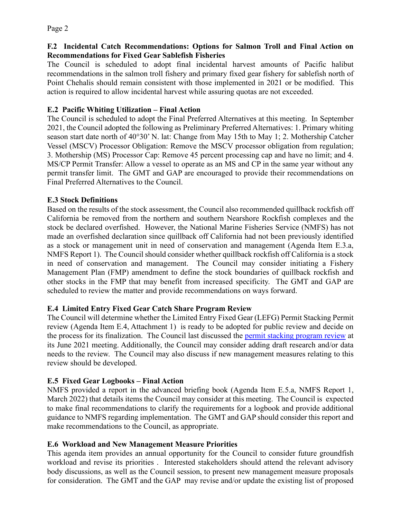# **F.2 Incidental Catch Recommendations: Options for Salmon Troll and Final Action on Recommendations for Fixed Gear Sablefish Fisheries**

The Council is scheduled to adopt final incidental harvest amounts of Pacific halibut recommendations in the salmon troll fishery and primary fixed gear fishery for sablefish north of Point Chehalis should remain consistent with those implemented in 2021 or be modified. This action is required to allow incidental harvest while assuring quotas are not exceeded.

# **E.2 Pacific Whiting Utilization – Final Action**

The Council is scheduled to adopt the Final Preferred Alternatives at this meeting. In September 2021, the Council adopted the following as Preliminary Preferred Alternatives: 1. Primary whiting season start date north of 40°30' N. lat: Change from May 15th to May 1; 2. Mothership Catcher Vessel (MSCV) Processor Obligation: Remove the MSCV processor obligation from regulation; 3. Mothership (MS) Processor Cap: Remove 45 percent processing cap and have no limit; and 4. MS/CP Permit Transfer: Allow a vessel to operate as an MS and CP in the same year without any permit transfer limit. The GMT and GAP are encouraged to provide their recommendations on Final Preferred Alternatives to the Council.

# **E.3 Stock Definitions**

Based on the results of the stock assessment, the Council also recommended quillback rockfish off California be removed from the northern and southern Nearshore Rockfish complexes and the stock be declared overfished. However, the National Marine Fisheries Service (NMFS) has not made an overfished declaration since quillback off California had not been previously identified as a stock or management unit in need of conservation and management (Agenda Item E.3.a, NMFS Report 1). The Council should consider whether quillback rockfish off California is a stock in need of conservation and management. The Council may consider initiating a Fishery Management Plan (FMP) amendment to define the stock boundaries of quillback rockfish and other stocks in the FMP that may benefit from increased specificity. The GMT and GAP are scheduled to review the matter and provide recommendations on ways forward.

# **E.4 Limited Entry Fixed Gear Catch Share Program Review**

The Council will determine whether the Limited Entry Fixed Gear (LEFG) Permit Stacking Permit review (Agenda Item E.4, Attachment 1) is ready to be adopted for public review and decide on the process for its finalization. The Council last discussed the [permit stacking program review](https://www.pcouncil.org/documents/2021/06/g-2-attachment-1-limited-entry-fixed-gear-review-outline-for-2021-including-updated-information-from-2014-review.pdf) at its June 2021 meeting. Additionally, the Council may consider adding draft research and/or data needs to the review. The Council may also discuss if new management measures relating to this review should be developed.

# **E.5 Fixed Gear Logbooks – Final Action**

NMFS provided a report in the advanced briefing book (Agenda Item E.5.a, NMFS Report 1, March 2022) that details items the Council may consider at this meeting. The Council is expected to make final recommendations to clarify the requirements for a logbook and provide additional guidance to NMFS regarding implementation. The GMT and GAP should consider this report and make recommendations to the Council, as appropriate.

# **E.6 Workload and New Management Measure Priorities**

This agenda item provides an annual opportunity for the Council to consider future groundfish workload and revise its priorities . Interested stakeholders should attend the relevant advisory body discussions, as well as the Council session, to present new management measure proposals for consideration. The GMT and the GAP may revise and/or update the existing list of proposed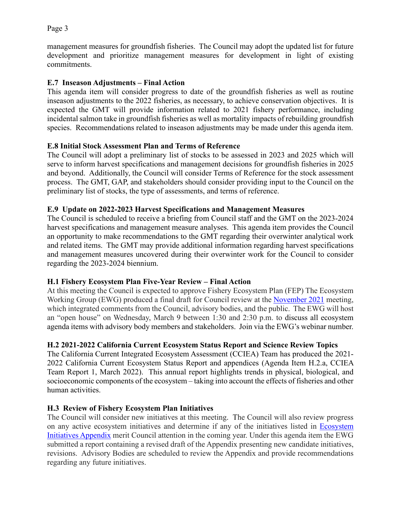management measures for groundfish fisheries. The Council may adopt the updated list for future development and prioritize management measures for development in light of existing commitments.

# **E.7 Inseason Adjustments – Final Action**

This agenda item will consider progress to date of the groundfish fisheries as well as routine inseason adjustments to the 2022 fisheries, as necessary, to achieve conservation objectives. It is expected the GMT will provide information related to 2021 fishery performance, including incidental salmon take in groundfish fisheries as well as mortality impacts of rebuilding groundfish species. Recommendations related to inseason adjustments may be made under this agenda item.

# **E.8 Initial Stock Assessment Plan and Terms of Reference**

The Council will adopt a preliminary list of stocks to be assessed in 2023 and 2025 which will serve to inform harvest specifications and management decisions for groundfish fisheries in 2025 and beyond. Additionally, the Council will consider Terms of Reference for the stock assessment process. The GMT, GAP, and stakeholders should consider providing input to the Council on the preliminary list of stocks, the type of assessments, and terms of reference.

#### **E.9 Update on 2022-2023 Harvest Specifications and Management Measures**

The Council is scheduled to receive a briefing from Council staff and the GMT on the 2023-2024 harvest specifications and management measure analyses. This agenda item provides the Council an opportunity to make recommendations to the GMT regarding their overwinter analytical work and related items. The GMT may provide additional information regarding harvest specifications and management measures uncovered during their overwinter work for the Council to consider regarding the 2023-2024 biennium.

# **H.1 Fishery Ecosystem Plan Five-Year Review – Final Action**

At this meeting the Council is expected to approve Fishery Ecosystem Plan (FEP) The Ecosystem Working Group (EWG) produced a final draft for Council review at the [November 2021](https://www.pcouncil.org/the-fishery-ecosystem-plan/) meeting, which integrated comments from the Council, advisory bodies, and the public. The EWG will host an "open house" on Wednesday, March 9 between 1:30 and 2:30 p.m. to discuss all ecosystem agenda items with advisory body members and stakeholders. Join via the EWG's webinar number.

# **H.2 2021-2022 California Current Ecosystem Status Report and Science Review Topics**

The California Current Integrated Ecosystem Assessment (CCIEA) Team has produced the 2021- 2022 California Current Ecosystem Status Report and appendices (Agenda Item H.2.a, CCIEA Team Report 1, March 2022). This annual report highlights trends in physical, biological, and socioeconomic components of the ecosystem – taking into account the effects of fisheries and other human activities.

# **H.3 Review of Fishery Ecosystem Plan Initiatives**

The Council will consider new initiatives at this meeting. The Council will also review progress on any active ecosystem initiatives and determine if any of the initiatives listed in [Ecosystem](https://www.pcouncil.org/documents/2017/03/fep_initiatives_appendix_post_03_17_final_170509.pdf) [Initiatives Appendix](https://www.pcouncil.org/documents/2017/03/fep_initiatives_appendix_post_03_17_final_170509.pdf) merit Council attention in the coming year. Under this agenda item the EWG submitted a report containing a revised draft of the Appendix presenting new candidate initiatives, revisions. Advisory Bodies are scheduled to review the Appendix and provide recommendations regarding any future initiatives.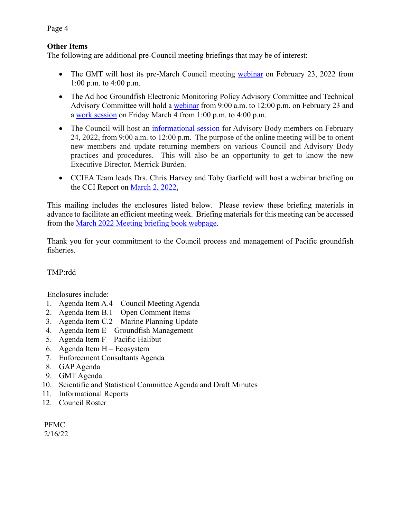#### **Other Items**

The following are additional pre-Council meeting briefings that may be of interest:

- The GMT will host its pre-March Council meeting [webinar](https://www.pcouncil.org/events/groundfish-management-team-to-hold-online-meeting-wednesday-february-23-2022/) on February 23, 2022 from 1:00 p.m. to 4:00 p.m.
- The Ad hoc Groundfish Electronic Monitoring Policy Advisory Committee and Technical Advisory Committee will hold a [webinar](https://www.pcouncil.org/events/ad-hoc-groundfish-electronic-monitoring-policy-advisory-committee-and-technical-advisory-committee-to-meet-february-23-2022/) from 9:00 a.m. to 12:00 p.m. on February 23 and a [work session](https://www.pcouncil.org/events/ad-hoc-marine-planning-committee-to-hold-online-work-session-friday-march-4-2022/) on Friday March 4 from 1:00 p.m. to 4:00 p.m.
- The Council will host an [informational session](https://www.pcouncil.org/events/all-advisory-body-informational-session/) for Advisory Body members on February 24, 2022, from 9:00 a.m. to 12:00 p.m. The purpose of the online meeting will be to orient new members and update returning members on various Council and Advisory Body practices and procedures. This will also be an opportunity to get to know the new Executive Director, Merrick Burden.
- CCIEA Team leads Drs. Chris Harvey and Toby Garfield will host a webinar briefing on the CCI Report on [March 2, 2022,](https://www.pcouncil.org/events/california-current-ecosystem-assessment-online-briefing-wednesday-march-2-2022/)

This mailing includes the enclosures listed below. Please review these briefing materials in advance to facilitate an efficient meeting week. Briefing materials for this meeting can be accessed from the March 2022 [Meeting briefing book webpage.](https://www.pcouncil.org/council_meeting/march-8-14-2022-council-meeting/)

Thank you for your commitment to the Council process and management of Pacific groundfish fisheries.

# TMP:rdd

Enclosures include:

- 1. Agenda Item A.4 Council Meeting Agenda
- 2. Agenda Item B.1 Open Comment Items
- 3. Agenda Item C.2 Marine Planning Update
- 4. Agenda Item E Groundfish Management
- 5. Agenda Item F Pacific Halibut
- 6. Agenda Item H Ecosystem
- 7. Enforcement Consultants Agenda
- 8. GAP Agenda
- 9. GMT Agenda
- 10. Scientific and Statistical Committee Agenda and Draft Minutes
- 11. Informational Reports
- 12. Council Roster

PFMC 2/16/22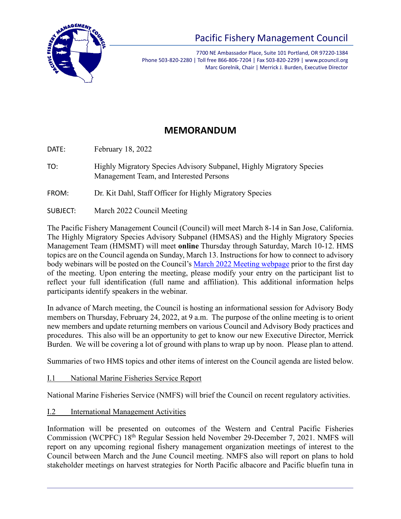

7700 NE Ambassador Place, Suite 101 Portland, OR 97220-1384 Phone 503-820-2280 | Toll free 866-806-7204 | Fax 503-820-2299 | www.pcouncil.org Marc Gorelnik, Chair | Merrick J. Burden, Executive Director

# **MEMORANDUM**

DATE: February 18, 2022

- TO: Highly Migratory Species Advisory Subpanel, Highly Migratory Species Management Team, and Interested Persons
- FROM: Dr. Kit Dahl, Staff Officer for Highly Migratory Species
- SUBJECT: March 2022 Council Meeting

The Pacific Fishery Management Council (Council) will meet March 8-14 in San Jose, California. The Highly Migratory Species Advisory Subpanel (HMSAS) and the Highly Migratory Species Management Team (HMSMT) will meet **online** Thursday through Saturday, March 10-12. HMS topics are on the Council agenda on Sunday, March 13. Instructions for how to connect to advisory body webinars will be posted on the Council's [March 2022 Meeting webpage](https://www.pcouncil.org/council_meeting/march-8-14-2022-council-meeting/) prior to the first day of the meeting. Upon entering the meeting, please modify your entry on the participant list to reflect your full identification (full name and affiliation). This additional information helps participants identify speakers in the webinar.

In advance of March meeting, the Council is hosting an informational session for Advisory Body members on Thursday, February 24, 2022, at 9 a.m. The purpose of the online meeting is to orient new members and update returning members on various Council and Advisory Body practices and procedures. This also will be an opportunity to get to know our new Executive Director, Merrick Burden. We will be covering a lot of ground with plans to wrap up by noon. Please plan to attend.

Summaries of two HMS topics and other items of interest on the Council agenda are listed below.

I.1 National Marine Fisheries Service Report

National Marine Fisheries Service (NMFS) will brief the Council on recent regulatory activities.

I.2 International Management Activities

Information will be presented on outcomes of the Western and Central Pacific Fisheries Commission (WCPFC) 18th Regular Session held November 29-December 7, 2021. NMFS will report on any upcoming regional fishery management organization meetings of interest to the Council between March and the June Council meeting. NMFS also will report on plans to hold stakeholder meetings on harvest strategies for North Pacific albacore and Pacific bluefin tuna in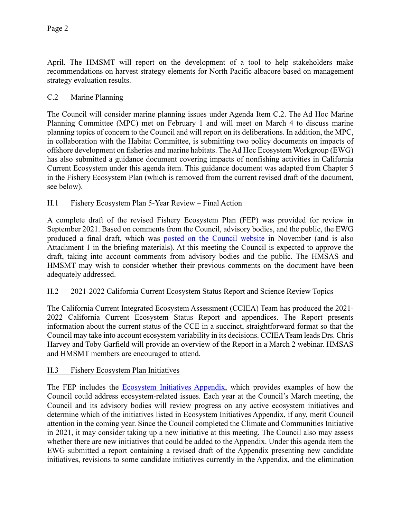April. The HMSMT will report on the development of a tool to help stakeholders make recommendations on harvest strategy elements for North Pacific albacore based on management strategy evaluation results.

# C.2 Marine Planning

The Council will consider marine planning issues under Agenda Item C.2. The Ad Hoc Marine Planning Committee (MPC) met on February 1 and will meet on March 4 to discuss marine planning topics of concern to the Council and will report on its deliberations. In addition, the MPC, in collaboration with the Habitat Committee, is submitting two policy documents on impacts of offshore development on fisheries and marine habitats. The Ad Hoc Ecosystem Workgroup (EWG) has also submitted a guidance document covering impacts of nonfishing activities in California Current Ecosystem under this agenda item. This guidance document was adapted from Chapter 5 in the Fishery Ecosystem Plan (which is removed from the current revised draft of the document, see below).

# H.1 Fishery Ecosystem Plan 5-Year Review – Final Action

A complete draft of the revised Fishery Ecosystem Plan (FEP) was provided for review in September 2021. Based on comments from the Council, advisory bodies, and the public, the EWG produced a final draft, which was [posted on the Council website](https://www.pcouncil.org/the-fishery-ecosystem-plan/) in November (and is also Attachment 1 in the briefing materials). At this meeting the Council is expected to approve the draft, taking into account comments from advisory bodies and the public. The HMSAS and HMSMT may wish to consider whether their previous comments on the document have been adequately addressed.

# H.2 2021-2022 California Current Ecosystem Status Report and Science Review Topics

The California Current Integrated Ecosystem Assessment (CCIEA) Team has produced the 2021- 2022 California Current Ecosystem Status Report and appendices. The Report presents information about the current status of the CCE in a succinct, straightforward format so that the Council may take into account ecosystem variability in its decisions. CCIEA Team leads Drs. Chris Harvey and Toby Garfield will provide an overview of the Report in a March 2 webinar. HMSAS and HMSMT members are encouraged to attend.

# H.3 Fishery Ecosystem Plan Initiatives

The FEP includes the **Ecosystem Initiatives Appendix**, which provides examples of how the Council could address ecosystem-related issues. Each year at the Council's March meeting, the Council and its advisory bodies will review progress on any active ecosystem initiatives and determine which of the initiatives listed in Ecosystem Initiatives Appendix, if any, merit Council attention in the coming year. Since the Council completed the Climate and Communities Initiative in 2021, it may consider taking up a new initiative at this meeting. The Council also may assess whether there are new initiatives that could be added to the Appendix. Under this agenda item the EWG submitted a report containing a revised draft of the Appendix presenting new candidate initiatives, revisions to some candidate initiatives currently in the Appendix, and the elimination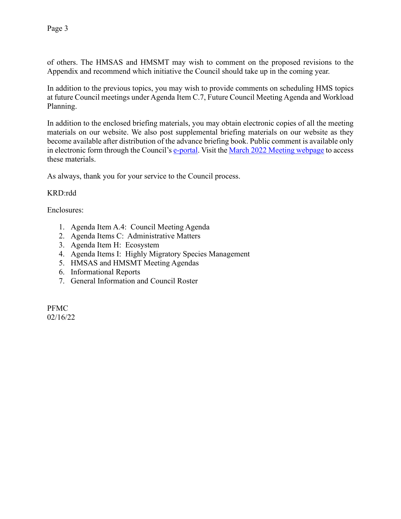of others. The HMSAS and HMSMT may wish to comment on the proposed revisions to the Appendix and recommend which initiative the Council should take up in the coming year.

In addition to the previous topics, you may wish to provide comments on scheduling HMS topics at future Council meetings under Agenda Item C.7, Future Council Meeting Agenda and Workload Planning.

In addition to the enclosed briefing materials, you may obtain electronic copies of all the meeting materials on our website. We also post supplemental briefing materials on our website as they become available after distribution of the advance briefing book. Public comment is available only in electronic form through the Council's [e-portal.](https://pfmc.psmfc.org/) Visit th[e March 2022 Meeting webpage](https://www.pcouncil.org/council_meeting/march-8-14-2022-council-meeting/) to access these materials.

As always, thank you for your service to the Council process.

# KRD:rdd

Enclosures:

- 1. Agenda Item A.4: Council Meeting Agenda
- 2. Agenda Items C: Administrative Matters
- 3. Agenda Item H: Ecosystem
- 4. Agenda Items I: Highly Migratory Species Management
- 5. HMSAS and HMSMT Meeting Agendas
- 6. Informational Reports
- 7. General Information and Council Roster

PFMC 02/16/22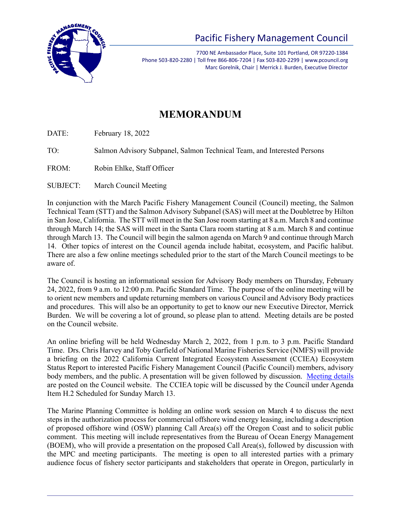

# Pacific Fishery Management Council

7700 NE Ambassador Place, Suite 101 Portland, OR 97220-1384 Phone 503-820-2280 | Toll free 866-806-7204 | Fax 503-820-2299 | www.pcouncil.org Marc Gorelnik, Chair | Merrick J. Burden, Executive Director

# **MEMORANDUM**

DATE: February 18, 2022

TO: Salmon Advisory Subpanel, Salmon Technical Team, and Interested Persons

FROM: Robin Ehlke, Staff Officer

SUBJECT: March Council Meeting

In conjunction with the March Pacific Fishery Management Council (Council) meeting, the Salmon Technical Team (STT) and the Salmon Advisory Subpanel (SAS) will meet at the Doubletree by Hilton in San Jose, California. The STT will meet in the San Jose room starting at 8 a.m. March 8 and continue through March 14; the SAS will meet in the Santa Clara room starting at 8 a.m. March 8 and continue through March 13. The Council will begin the salmon agenda on March 9 and continue through March 14. Other topics of interest on the Council agenda include habitat, ecosystem, and Pacific halibut. There are also a few online meetings scheduled prior to the start of the March Council meetings to be aware of.

The Council is hosting an informational session for Advisory Body members on Thursday, February 24, 2022, from 9 a.m. to 12:00 p.m. Pacific Standard Time. The purpose of the online meeting will be to orient new members and update returning members on various Council and Advisory Body practices and procedures. This will also be an opportunity to get to know our new Executive Director, Merrick Burden. We will be covering a lot of ground, so please plan to attend. Meeting details are be posted on the Council website.

An online briefing will be held Wednesday March 2, 2022, from 1 p.m. to 3 p.m. Pacific Standard Time. Drs. Chris Harvey and Toby Garfield of National Marine Fisheries Service (NMFS) will provide a briefing on the 2022 California Current Integrated Ecosystem Assessment (CCIEA) Ecosystem Status Report to interested Pacific Fishery Management Council (Pacific Council) members, advisory body members, and the public. A presentation will be given followed by discussion. [Meeting details](https://www.pcouncil.org/events/california-current-ecosystem-assessment-online-briefing-wednesday-march-2-2022/) are posted on the Council website. The CCIEA topic will be discussed by the Council under Agenda Item H.2 Scheduled for Sunday March 13.

The Marine Planning Committee is holding an online work session on March 4 to discuss the next steps in the authorization process for commercial offshore wind energy leasing, including a description of proposed offshore wind (OSW) planning Call Area(s) off the Oregon Coast and to solicit public comment. This meeting will include representatives from the Bureau of Ocean Energy Management (BOEM), who will provide a presentation on the proposed Call Area(s), followed by discussion with the MPC and meeting participants. The meeting is open to all interested parties with a primary audience focus of fishery sector participants and stakeholders that operate in Oregon, particularly in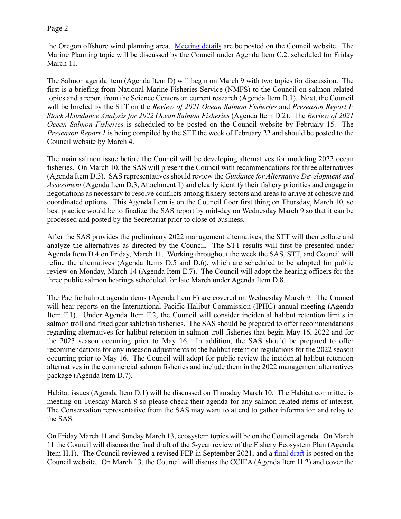the Oregon offshore wind planning area. [Meeting details](https://www.pcouncil.org/events/ad-hoc-marine-planning-committee-to-hold-online-work-session-friday-march-4-2022/) are be posted on the Council website. The Marine Planning topic will be discussed by the Council under Agenda Item C.2. scheduled for Friday March 11.

The Salmon agenda item (Agenda Item D) will begin on March 9 with two topics for discussion. The first is a briefing from National Marine Fisheries Service (NMFS) to the Council on salmon-related topics and a report from the Science Centers on current research (Agenda Item D.1). Next, the Council will be briefed by the STT on the *Review of 2021 Ocean Salmon Fisheries* and *Preseason Report I: Stock Abundance Analysis for 2022 Ocean Salmon Fisheries* (Agenda Item D.2). The *Review of 2021 Ocean Salmon Fisheries* is scheduled to be posted on the Council website by February 15. The *Preseason Report 1* is being compiled by the STT the week of February 22 and should be posted to the Council website by March 4.

The main salmon issue before the Council will be developing alternatives for modeling 2022 ocean fisheries. On March 10, the SAS will present the Council with recommendations for three alternatives (Agenda Item D.3). SAS representatives should review the *Guidance for Alternative Development and Assessment* (Agenda Item D.3, Attachment 1) and clearly identify their fishery priorities and engage in negotiations as necessary to resolve conflicts among fishery sectors and areas to arrive at cohesive and coordinated options. This Agenda Item is on the Council floor first thing on Thursday, March 10, so best practice would be to finalize the SAS report by mid-day on Wednesday March 9 so that it can be processed and posted by the Secretariat prior to close of business.

After the SAS provides the preliminary 2022 management alternatives, the STT will then collate and analyze the alternatives as directed by the Council. The STT results will first be presented under Agenda Item D.4 on Friday, March 11. Working throughout the week the SAS, STT, and Council will refine the alternatives (Agenda Items D.5 and D.6), which are scheduled to be adopted for public review on Monday, March 14 (Agenda Item E.7). The Council will adopt the hearing officers for the three public salmon hearings scheduled for late March under Agenda Item D.8.

The Pacific halibut agenda items (Agenda Item F) are covered on Wednesday March 9. The Council will hear reports on the International Pacific Halibut Commission (IPHC) annual meeting (Agenda Item F.1). Under Agenda Item F.2, the Council will consider incidental halibut retention limits in salmon troll and fixed gear sablefish fisheries. The SAS should be prepared to offer recommendations regarding alternatives for halibut retention in salmon troll fisheries that begin May 16, 2022 and for the 2023 season occurring prior to May 16. In addition, the SAS should be prepared to offer recommendations for any inseason adjustments to the halibut retention regulations for the 2022 season occurring prior to May 16. The Council will adopt for public review the incidental halibut retention alternatives in the commercial salmon fisheries and include them in the 2022 management alternatives package (Agenda Item D.7).

Habitat issues (Agenda Item D.1) will be discussed on Thursday March 10. The Habitat committee is meeting on Tuesday March 8 so please check their agenda for any salmon related items of interest. The Conservation representative from the SAS may want to attend to gather information and relay to the SAS.

On Friday March 11 and Sunday March 13, ecosystem topics will be on the Council agenda. On March 11 the Council will discuss the final draft of the 5-year review of the Fishery Ecosystem Plan (Agenda Item H.1). The Council reviewed a revised FEP in September 2021, and a [final draft](https://www.pcouncil.org/the-fishery-ecosystem-plan/) is posted on the Council website. On March 13, the Council will discuss the CCIEA (Agenda Item H.2) and cover the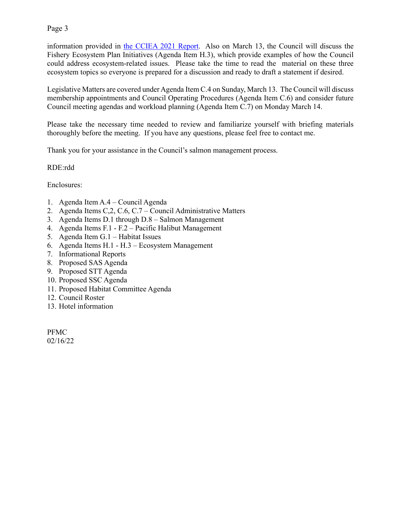information provided in [the CCIEA 2021 Report.](https://www.pcouncil.org/documents/2021/02/i-1-a-iea-team-report-1.pdf/) Also on March 13, the Council will discuss the Fishery Ecosystem Plan Initiatives (Agenda Item H.3), which provide examples of how the Council could address ecosystem-related issues. Please take the time to read the material on these three ecosystem topics so everyone is prepared for a discussion and ready to draft a statement if desired.

Legislative Matters are covered under Agenda Item C.4 on Sunday, March 13. The Council will discuss membership appointments and Council Operating Procedures (Agenda Item C.6) and consider future Council meeting agendas and workload planning (Agenda Item C.7) on Monday March 14.

Please take the necessary time needed to review and familiarize yourself with briefing materials thoroughly before the meeting. If you have any questions, please feel free to contact me.

Thank you for your assistance in the Council's salmon management process.

RDE:rdd

Enclosures:

- 1. Agenda Item A.4 Council Agenda
- 2. Agenda Items C,2, C.6, C.7 Council Administrative Matters
- 3. Agenda Items D.1 through D.8 Salmon Management
- 4. Agenda Items F.1 F.2 Pacific Halibut Management
- 5. Agenda Item G.1 Habitat Issues
- 6. Agenda Items H.1 H.3 Ecosystem Management
- 7. Informational Reports
- 8. Proposed SAS Agenda
- 9. Proposed STT Agenda
- 10. Proposed SSC Agenda
- 11. Proposed Habitat Committee Agenda
- 12. Council Roster
- 13. Hotel information

PFMC 02/16/22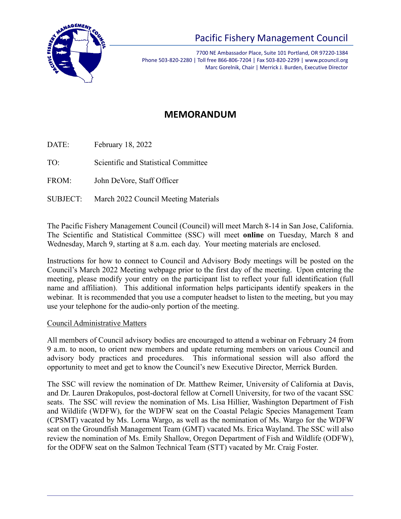

# Pacific Fishery Management Council

7700 NE Ambassador Place, Suite 101 Portland, OR 97220-1384 Phone 503-820-2280 | Toll free 866-806-7204 | Fax 503-820-2299 | www.pcouncil.org Marc Gorelnik, Chair | Merrick J. Burden, Executive Director

# **MEMORANDUM**

DATE: February 18, 2022

TO: Scientific and Statistical Committee

FROM: John DeVore, Staff Officer

SUBJECT: March 2022 Council Meeting Materials

The Pacific Fishery Management Council (Council) will meet March 8-14 in San Jose, California. The Scientific and Statistical Committee (SSC) will meet **online** on Tuesday, March 8 and Wednesday, March 9, starting at 8 a.m. each day. Your meeting materials are enclosed.

Instructions for how to connect to Council and Advisory Body meetings will be posted on the Council's March 2022 Meeting webpage prior to the first day of the meeting. Upon entering the meeting, please modify your entry on the participant list to reflect your full identification (full name and affiliation). This additional information helps participants identify speakers in the webinar. It is recommended that you use a computer headset to listen to the meeting, but you may use your telephone for the audio-only portion of the meeting.

# Council Administrative Matters

All members of Council advisory bodies are encouraged to attend a webinar on February 24 from 9 a.m. to noon, to orient new members and update returning members on various Council and advisory body practices and procedures. This informational session will also afford the opportunity to meet and get to know the Council's new Executive Director, Merrick Burden.

The SSC will review the nomination of Dr. Matthew Reimer, University of California at Davis, and Dr. Lauren Drakopulos, post-doctoral fellow at Cornell University, for two of the vacant SSC seats. The SSC will review the nomination of Ms. Lisa Hillier, Washington Department of Fish and Wildlife (WDFW), for the WDFW seat on the Coastal Pelagic Species Management Team (CPSMT) vacated by Ms. Lorna Wargo, as well as the nomination of Ms. Wargo for the WDFW seat on the Groundfish Management Team (GMT) vacated Ms. Erica Wayland. The SSC will also review the nomination of Ms. Emily Shallow, Oregon Department of Fish and Wildlife (ODFW), for the ODFW seat on the Salmon Technical Team (STT) vacated by Mr. Craig Foster.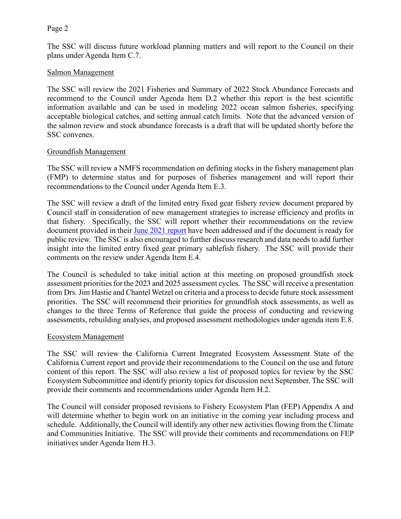The SSC will discuss future workload planning matters and will report to the Council on their plans under Agenda Item C.7.

#### Salmon Management

The SSC will review the 2021 Fisheries and Summary of 2022 Stock Abundance Forecasts and recommend to the Council under Agenda Item D.2 whether this report is the best scientific information available and can be used in modeling 2022 ocean salmon fisheries, specifying acceptable biological catches, and setting annual catch limits. Note that the advanced version of the salmon review and stock abundance forecasts is a draft that will be updated shortly before the SSC convenes.

#### Groundfish Management

The SSC will review a NMFS recommendation on defining stocks in the fishery management plan (FMP) to determine status and for purposes of fisheries management and will report their recommendations to the Council under Agenda Item E.3.

The SSC will review a draft of the limited entry fixed gear fishery review document prepared by Council staff in consideration of new management strategies to increase efficiency and profits in that fishery. Specifically, the SSC will report whether their recommendations on the review document provided in their [June 2021 report](https://www.pcouncil.org/documents/2021/06/g-2-a-supplemental-ssc-report-1-2.pdf/) have been addressed and if the document is ready for public review. The SSC is also encouraged to further discuss research and data needs to add further insight into the limited entry fixed gear primary sablefish fishery. The SSC will provide their comments on the review under Agenda Item E.4.

The Council is scheduled to take initial action at this meeting on proposed groundfish stock assessment priorities for the 2023 and 2025 assessment cycles. The SSC will receive a presentation from Drs. Jim Hastie and Chantel Wetzel on criteria and a process to decide future stock assessment priorities. The SSC will recommend their priorities for groundfish stock assessments, as well as changes to the three Terms of Reference that guide the process of conducting and reviewing assessments, rebuilding analyses, and proposed assessment methodologies under agenda item E.8.

#### Ecosystem Management

The SSC will review the California Current Integrated Ecosystem Assessment State of the California Current report and provide their recommendations to the Council on the use and future content of this report. The SSC will also review a list of proposed topics for review by the SSC Ecosystem Subcommittee and identify priority topics for discussion next September. The SSC will provide their comments and recommendations under Agenda Item H.2.

The Council will consider proposed revisions to Fishery Ecosystem Plan (FEP) Appendix A and will determine whether to begin work on an initiative in the coming year including process and schedule. Additionally, the Council will identify any other new activities flowing from the Climate and Communities Initiative. The SSC will provide their comments and recommendations on FEP initiatives under Agenda Item H.3.